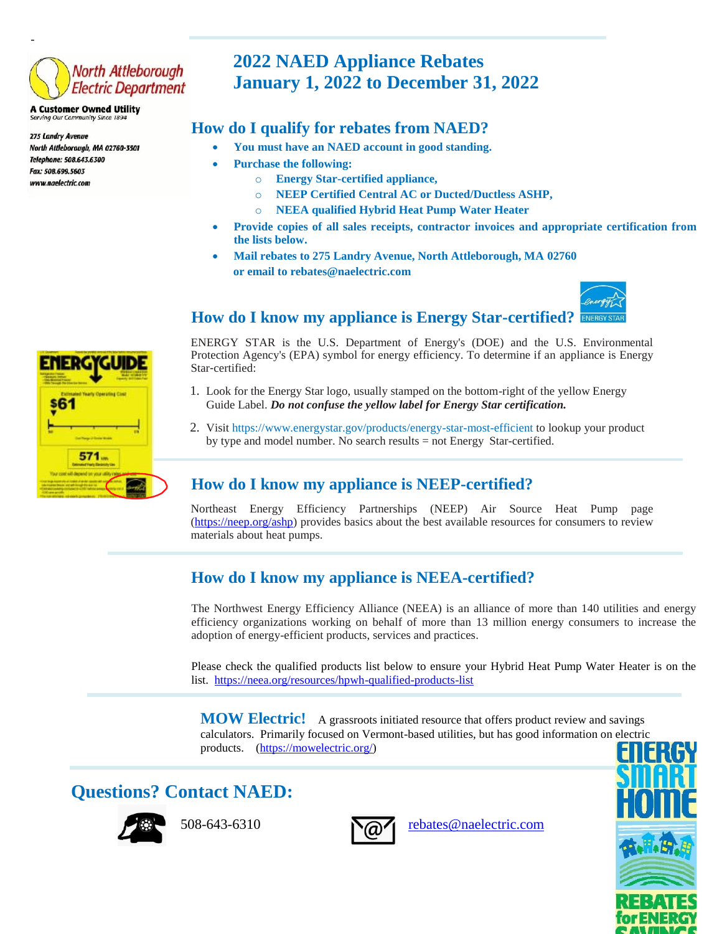# **North Attleborough Electric Department**

**A Customer Owned Utility** Serving Our Community Since 1894

-

275 Landry Avenue North Attleborough, MA 02760-3501 Telephone: 508.643.6300 Fax: 508.699.5603 www.naelectric.com



## **2022 NAED Appliance Rebates January 1, 2022 to December 31, 2022**

#### **How do I qualify for rebates from NAED?**

- **You must have an NAED account in good standing.**
- **Purchase the following:**
	- o **Energy Star-certified appliance,**
	- o **NEEP Certified Central AC or Ducted/Ductless ASHP,**
	- o **NEEA qualified Hybrid Heat Pump Water Heater**
- **Provide copies of all sales receipts, contractor invoices and appropriate certification from the lists below.**
- **Mail rebates to 275 Landry Avenue, North Attleborough, MA 02760 or email to rebates@naelectric.com**



#### **How do I know my appliance is Energy Star-certified?**

ENERGY STAR is the U.S. Department of Energy's (DOE) and the U.S. Environmental Protection Agency's (EPA) symbol for energy efficiency. To determine if an appliance is Energy Star-certified:

- 1. Look for the Energy Star logo, usually stamped on the bottom-right of the yellow Energy Guide Label. *Do not confuse the yellow label for Energy Star certification.*
- 2. Visit https:/[/www.energystar.gov/products/energy-star-most-efficient t](http://www.energystar.gov/products/energy-star-most-efficient)o lookup your product by type and model number. No search results = not Energy Star-certified.

### **How do I know my appliance is NEEP-certified?**

Northeast Energy Efficiency Partnerships (NEEP) Air Source Heat Pump page [\(https://neep.org/ashp\)](https://neep.org/ashp) provides basics about the best available resources for consumers to review materials about heat pumps.

### **How do I know my appliance is NEEA-certified?**

The Northwest Energy Efficiency Alliance (NEEA) is an alliance of more than 140 utilities and energy efficiency organizations working on behalf of more than 13 million energy consumers to increase the adoption of energy-efficient products, services and practices.

Please check the qualified products list below to ensure your Hybrid Heat Pump Water Heater is on the list. <https://neea.org/resources/hpwh-qualified-products-list>

**MOW Electric!** A grassroots initiated resource that offers product review and savings calculators. Primarily focused on Vermont-based utilities, but has good information on electric products. [\(https://mowelectric.org/\)](https://mowelectric.org/)

## **Questions? Contact NAED:**





508-643-6310 **[rebates@naelectric.com](mailto:rebates@naelectric.com)** 

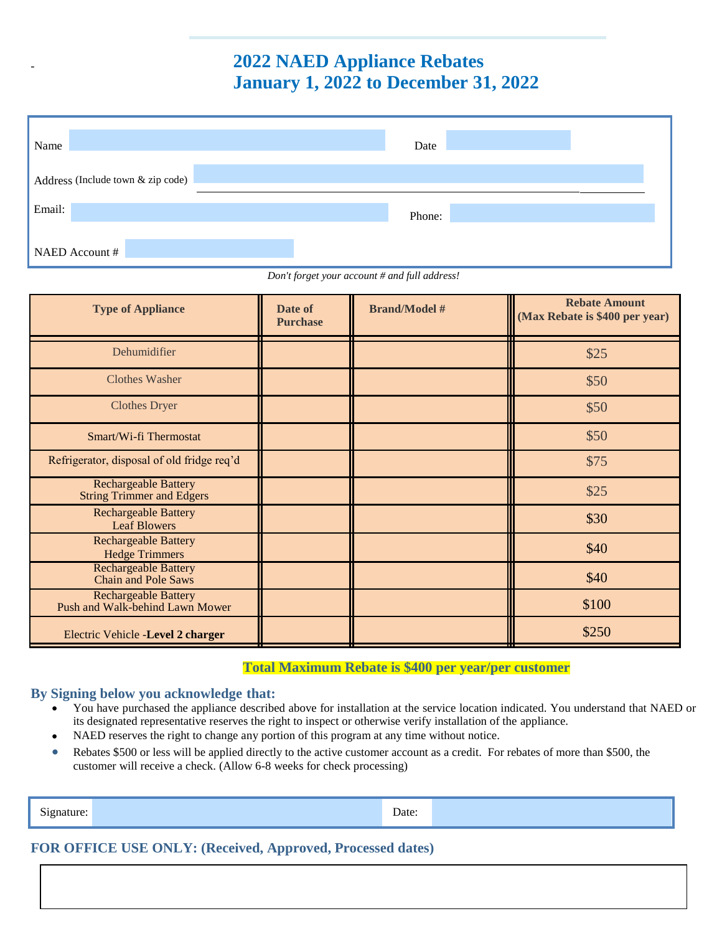### **2022 NAED Appliance Rebates January 1, 2022 to December 31, 2022**

| Name                              | Date   |
|-----------------------------------|--------|
| Address (Include town & zip code) |        |
| Email:                            | Phone: |
| NAED Account #                    |        |

*Don't forget your account # and full address!*

| <b>Type of Appliance</b>                                        | Date of<br><b>Purchase</b> | <b>Brand/Model #</b> | <b>Rebate Amount</b><br>(Max Rebate is \$400 per year) |  |  |
|-----------------------------------------------------------------|----------------------------|----------------------|--------------------------------------------------------|--|--|
| Dehumidifier                                                    |                            |                      | \$25                                                   |  |  |
| <b>Clothes Washer</b>                                           |                            |                      | \$50                                                   |  |  |
| <b>Clothes Dryer</b>                                            |                            |                      | \$50                                                   |  |  |
| Smart/Wi-fi Thermostat                                          |                            |                      | \$50                                                   |  |  |
| Refrigerator, disposal of old fridge req'd                      |                            |                      | \$75                                                   |  |  |
| <b>Rechargeable Battery</b><br><b>String Trimmer and Edgers</b> |                            |                      | \$25                                                   |  |  |
| <b>Rechargeable Battery</b><br><b>Leaf Blowers</b>              |                            |                      | \$30                                                   |  |  |
| <b>Rechargeable Battery</b><br><b>Hedge Trimmers</b>            |                            |                      | \$40                                                   |  |  |
| <b>Rechargeable Battery</b><br><b>Chain and Pole Saws</b>       |                            |                      | \$40                                                   |  |  |
| <b>Rechargeable Battery</b><br>Push and Walk-behind Lawn Mower  |                            |                      | \$100                                                  |  |  |
| Electric Vehicle - Level 2 charger                              |                            |                      | \$250                                                  |  |  |

#### **Total Maximum Rebate is \$400 per year/per customer**

#### **By Signing below you acknowledge that:**

-

- You have purchased the appliance described above for installation at the service location indicated. You understand that NAED or its designated representative reserves the right to inspect or otherwise verify installation of the appliance.
- NAED reserves the right to change any portion of this program at any time without notice.
- Rebates \$500 or less will be applied directly to the active customer account as a credit. For rebates of more than \$500, the customer will receive a check. (Allow 6-8 weeks for check processing)

| $\sim$<br>Atonature :<br>້ |  | Date: |  |
|----------------------------|--|-------|--|
|----------------------------|--|-------|--|

#### **FOR OFFICE USE ONLY: (Received, Approved, Processed dates)**